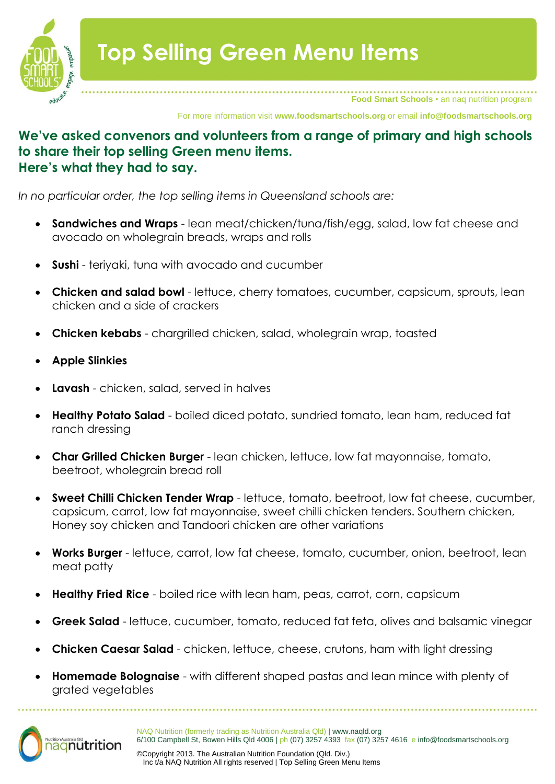

**Food Smart Schools** • an naq nutrition program

For more information visit **www.foodsmartschools.org** or email **info@foodsmartschools.org**

## **We've asked convenors and volunteers from a range of primary and high schools to share their top selling Green menu items. Here's what they had to say.**

*In no particular order, the top selling items in Queensland schools are:*

- **Sandwiches and Wraps**  lean meat/chicken/tuna/fish/egg, salad, low fat cheese and avocado on wholegrain breads, wraps and rolls
- **Sushi**  teriyaki, tuna with avocado and cucumber
- **Chicken and salad bowl**  lettuce, cherry tomatoes, cucumber, capsicum, sprouts, lean chicken and a side of crackers
- **Chicken kebabs**  chargrilled chicken, salad, wholegrain wrap, toasted
- **Apple Slinkies**
- **Lavash**  chicken, salad, served in halves
- **Healthy Potato Salad**  boiled diced potato, sundried tomato, lean ham, reduced fat ranch dressing
- **Char Grilled Chicken Burger**  lean chicken, lettuce, low fat mayonnaise, tomato, beetroot, wholegrain bread roll
- **Sweet Chilli Chicken Tender Wrap**  lettuce, tomato, beetroot, low fat cheese, cucumber, capsicum, carrot, low fat mayonnaise, sweet chilli chicken tenders. Southern chicken, Honey soy chicken and Tandoori chicken are other variations
- **Works Burger**  lettuce, carrot, low fat cheese, tomato, cucumber, onion, beetroot, lean meat patty
- **Healthy Fried Rice**  boiled rice with lean ham, peas, carrot, corn, capsicum
- **Greek Salad**  lettuce, cucumber, tomato, reduced fat feta, olives and balsamic vinegar
- **Chicken Caesar Salad**  chicken, lettuce, cheese, crutons, ham with light dressing
- **Homemade Bolognaise**  with different shaped pastas and lean mince with plenty of grated vegetables



NAQ Nutrition (formerly trading as Nutrition Australia Qld) | www.naqld.org 6/100 Campbell St, Bowen Hills Qld 4006 | ph (07) 3257 4393 fax (07) 3257 4616 e info@foodsmartschools.org